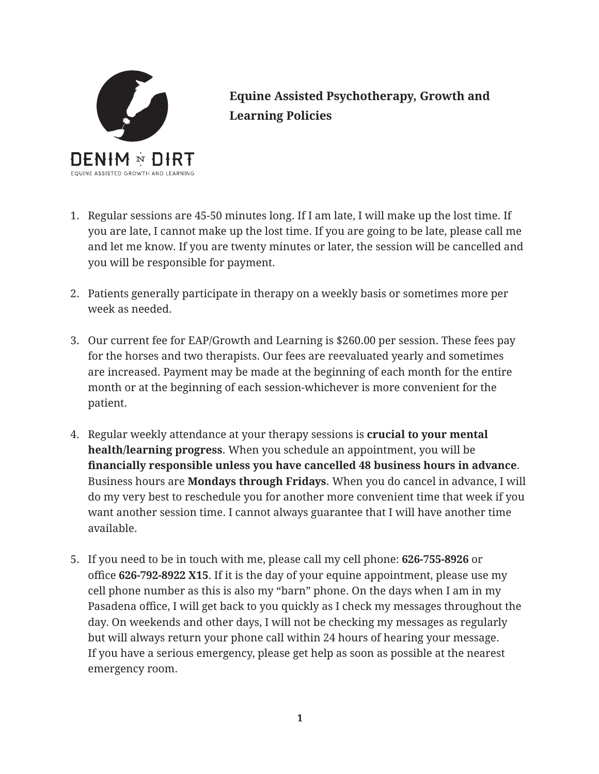

**Equine Assisted Psychotherapy, Growth and Learning Policies**

- 1. Regular sessions are 45-50 minutes long. If I am late, I will make up the lost time. If you are late, I cannot make up the lost time. If you are going to be late, please call me and let me know. If you are twenty minutes or later, the session will be cancelled and you will be responsible for payment.
- 2. Patients generally participate in therapy on a weekly basis or sometimes more per week as needed.
- 3. Our current fee for EAP/Growth and Learning is \$260.00 per session. These fees pay for the horses and two therapists. Our fees are reevaluated yearly and sometimes are increased. Payment may be made at the beginning of each month for the entire month or at the beginning of each session-whichever is more convenient for the patient.
- 4. Regular weekly attendance at your therapy sessions is **crucial to your mental health/learning progress**. When you schedule an appointment, you will be **financially responsible unless you have cancelled 48 business hours in advance**. Business hours are **Mondays through Fridays**. When you do cancel in advance, I will do my very best to reschedule you for another more convenient time that week if you want another session time. I cannot always guarantee that I will have another time available.
- 5. If you need to be in touch with me, please call my cell phone: **626-755-8926** or office **626-792-8922 X15**. If it is the day of your equine appointment, please use my cell phone number as this is also my "barn" phone. On the days when I am in my Pasadena office, I will get back to you quickly as I check my messages throughout the day. On weekends and other days, I will not be checking my messages as regularly but will always return your phone call within 24 hours of hearing your message. If you have a serious emergency, please get help as soon as possible at the nearest emergency room.